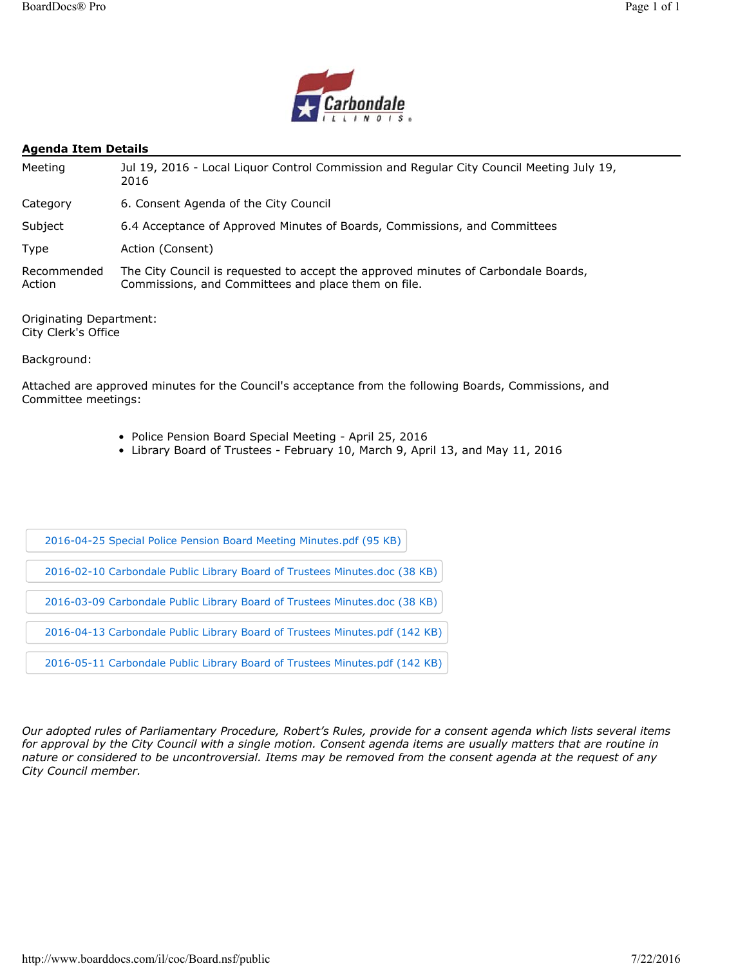

### **Agenda Item Details**

| Meeting               | Jul 19, 2016 - Local Liguor Control Commission and Regular City Council Meeting July 19,<br>2016                                          |
|-----------------------|-------------------------------------------------------------------------------------------------------------------------------------------|
| Category              | 6. Consent Agenda of the City Council                                                                                                     |
| Subject               | 6.4 Acceptance of Approved Minutes of Boards, Commissions, and Committees                                                                 |
| Type                  | Action (Consent)                                                                                                                          |
| Recommended<br>Action | The City Council is requested to accept the approved minutes of Carbondale Boards,<br>Commissions, and Committees and place them on file. |

Originating Department: City Clerk's Office

Background:

Attached are approved minutes for the Council's acceptance from the following Boards, Commissions, and Committee meetings:

- Police Pension Board Special Meeting April 25, 2016
- Library Board of Trustees February 10, March 9, April 13, and May 11, 2016

| 2016-04-25 Special Police Pension Board Meeting Minutes.pdf (95 KB)         |
|-----------------------------------------------------------------------------|
| 2016-02-10 Carbondale Public Library Board of Trustees Minutes.doc (38 KB)  |
| 2016-03-09 Carbondale Public Library Board of Trustees Minutes.doc (38 KB)  |
| 2016-04-13 Carbondale Public Library Board of Trustees Minutes.pdf (142 KB) |
| 2016-05-11 Carbondale Public Library Board of Trustees Minutes.pdf (142 KB) |

*Our adopted rules of Parliamentary Procedure, Robert's Rules, provide for a consent agenda which lists several items*  for approval by the City Council with a single motion. Consent agenda items are usually matters that are routine in *nature or considered to be uncontroversial. Items may be removed from the consent agenda at the request of any City Council member.*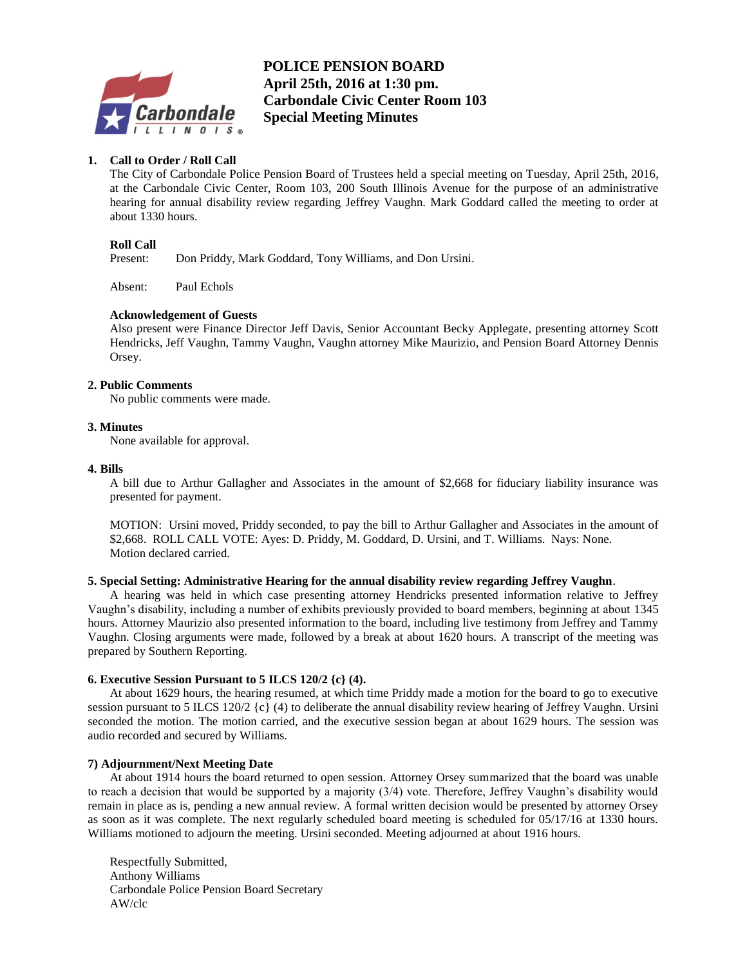

# **B POLICE PENSION BOARD April 25th, 2016 at 1:30 pm. Carbondale Civic Center Room 103 Special Meeting Minutes**

### **1. Call to Order / Roll Call**

The City of Carbondale Police Pension Board of Trustees held a special meeting on Tuesday, April 25th, 2016, at the Carbondale Civic Center, Room 103, 200 South Illinois Avenue for the purpose of an administrative hearing for annual disability review regarding Jeffrey Vaughn. Mark Goddard called the meeting to order at about 1330 hours.

### **Roll Call**

Present: Don Priddy, Mark Goddard, Tony Williams, and Don Ursini.

Absent: Paul Echols

### **Acknowledgement of Guests**

Also present were Finance Director Jeff Davis, Senior Accountant Becky Applegate, presenting attorney Scott Hendricks, Jeff Vaughn, Tammy Vaughn, Vaughn attorney Mike Maurizio, and Pension Board Attorney Dennis Orsey.

### **2. Public Comments**

No public comments were made.

### **3. Minutes**

None available for approval.

### **4. Bills**

A bill due to Arthur Gallagher and Associates in the amount of \$2,668 for fiduciary liability insurance was presented for payment.

MOTION: Ursini moved, Priddy seconded, to pay the bill to Arthur Gallagher and Associates in the amount of \$2,668. ROLL CALL VOTE: Ayes: D. Priddy, M. Goddard, D. Ursini, and T. Williams. Nays: None. Motion declared carried.

### **5. Special Setting: Administrative Hearing for the annual disability review regarding Jeffrey Vaughn**.

A hearing was held in which case presenting attorney Hendricks presented information relative to Jeffrey Vaughn's disability, including a number of exhibits previously provided to board members, beginning at about 1345 hours. Attorney Maurizio also presented information to the board, including live testimony from Jeffrey and Tammy Vaughn. Closing arguments were made, followed by a break at about 1620 hours. A transcript of the meeting was prepared by Southern Reporting.

### **6. Executive Session Pursuant to 5 ILCS 120/2 {c} (4).**

At about 1629 hours, the hearing resumed, at which time Priddy made a motion for the board to go to executive session pursuant to 5 ILCS 120/2 {c} (4) to deliberate the annual disability review hearing of Jeffrey Vaughn. Ursini seconded the motion. The motion carried, and the executive session began at about 1629 hours. The session was audio recorded and secured by Williams.

### **7) Adjournment/Next Meeting Date**

At about 1914 hours the board returned to open session. Attorney Orsey summarized that the board was unable to reach a decision that would be supported by a majority (3/4) vote. Therefore, Jeffrey Vaughn's disability would remain in place as is, pending a new annual review. A formal written decision would be presented by attorney Orsey as soon as it was complete. The next regularly scheduled board meeting is scheduled for 05/17/16 at 1330 hours. Williams motioned to adjourn the meeting. Ursini seconded. Meeting adjourned at about 1916 hours.

Respectfully Submitted, Anthony Williams Carbondale Police Pension Board Secretary AW/clc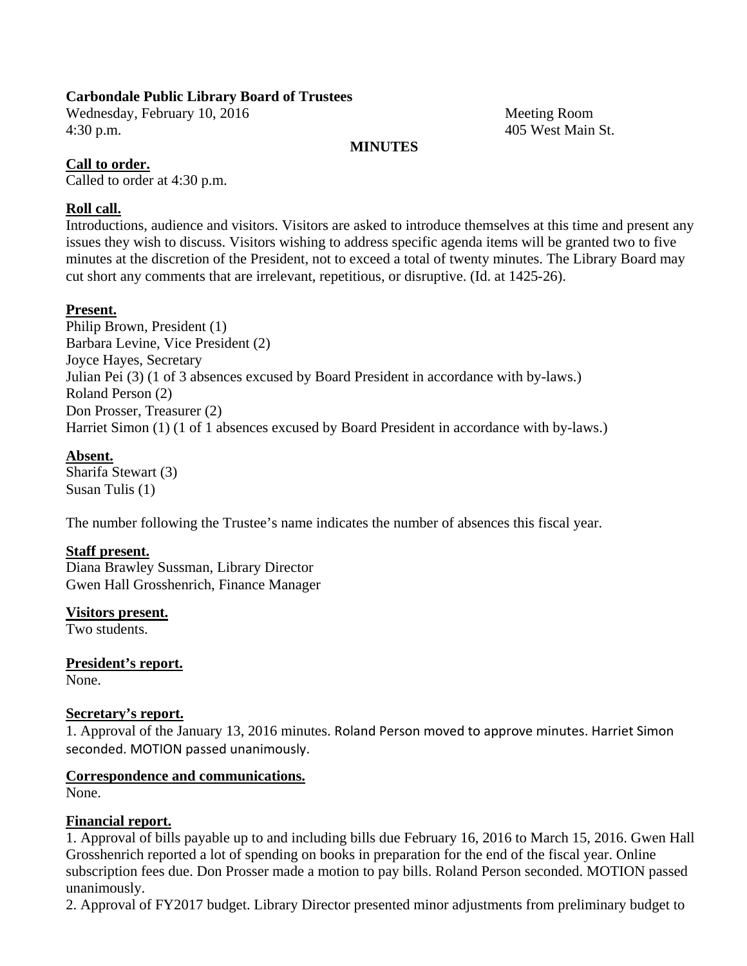Wednesday, February 10, 2016 Meeting Room 4:30 p.m. 405 West Main St.

### **MINUTES**

# **Call to order.**

Called to order at 4:30 p.m.

## **Roll call.**

Introductions, audience and visitors. Visitors are asked to introduce themselves at this time and present any issues they wish to discuss. Visitors wishing to address specific agenda items will be granted two to five minutes at the discretion of the President, not to exceed a total of twenty minutes. The Library Board may cut short any comments that are irrelevant, repetitious, or disruptive. (Id. at 1425-26).

## **Present.**

Philip Brown, President (1) Barbara Levine, Vice President (2) Joyce Hayes, Secretary Julian Pei (3) (1 of 3 absences excused by Board President in accordance with by-laws.) Roland Person (2) Don Prosser, Treasurer (2) Harriet Simon (1) (1 of 1 absences excused by Board President in accordance with by-laws.)

## **Absent.**

Sharifa Stewart (3) Susan Tulis (1)

The number following the Trustee's name indicates the number of absences this fiscal year.

### **Staff present.**

Diana Brawley Sussman, Library Director Gwen Hall Grosshenrich, Finance Manager

**Visitors present.**  Two students.

**President's report.**  None.

## **Secretary's report.**

1. Approval of the January 13, 2016 minutes. Roland Person moved to approve minutes. Harriet Simon seconded. MOTION passed unanimously.

# **Correspondence and communications.**

None.

### **Financial report.**

1. Approval of bills payable up to and including bills due February 16, 2016 to March 15, 2016. Gwen Hall Grosshenrich reported a lot of spending on books in preparation for the end of the fiscal year. Online subscription fees due. Don Prosser made a motion to pay bills. Roland Person seconded. MOTION passed unanimously.

2. Approval of FY2017 budget. Library Director presented minor adjustments from preliminary budget to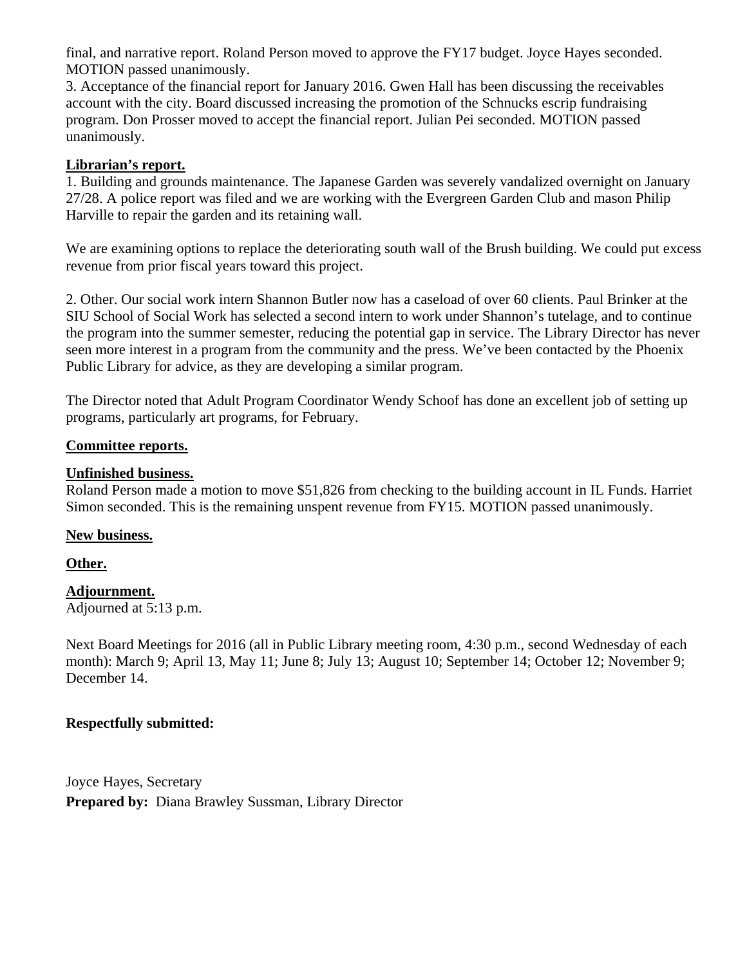final, and narrative report. Roland Person moved to approve the FY17 budget. Joyce Hayes seconded. MOTION passed unanimously.

3. Acceptance of the financial report for January 2016. Gwen Hall has been discussing the receivables account with the city. Board discussed increasing the promotion of the Schnucks escrip fundraising program. Don Prosser moved to accept the financial report. Julian Pei seconded. MOTION passed unanimously.

# **Librarian's report.**

1. Building and grounds maintenance. The Japanese Garden was severely vandalized overnight on January 27/28. A police report was filed and we are working with the Evergreen Garden Club and mason Philip Harville to repair the garden and its retaining wall.

We are examining options to replace the deteriorating south wall of the Brush building. We could put excess revenue from prior fiscal years toward this project.

2. Other. Our social work intern Shannon Butler now has a caseload of over 60 clients. Paul Brinker at the SIU School of Social Work has selected a second intern to work under Shannon's tutelage, and to continue the program into the summer semester, reducing the potential gap in service. The Library Director has never seen more interest in a program from the community and the press. We've been contacted by the Phoenix Public Library for advice, as they are developing a similar program.

The Director noted that Adult Program Coordinator Wendy Schoof has done an excellent job of setting up programs, particularly art programs, for February.

# **Committee reports.**

# **Unfinished business.**

Roland Person made a motion to move \$51,826 from checking to the building account in IL Funds. Harriet Simon seconded. This is the remaining unspent revenue from FY15. MOTION passed unanimously.

# **New business.**

# **Other.**

# **Adjournment.**

Adjourned at 5:13 p.m.

Next Board Meetings for 2016 (all in Public Library meeting room, 4:30 p.m., second Wednesday of each month): March 9; April 13, May 11; June 8; July 13; August 10; September 14; October 12; November 9; December 14.

# **Respectfully submitted:**

Joyce Hayes, Secretary **Prepared by:** Diana Brawley Sussman, Library Director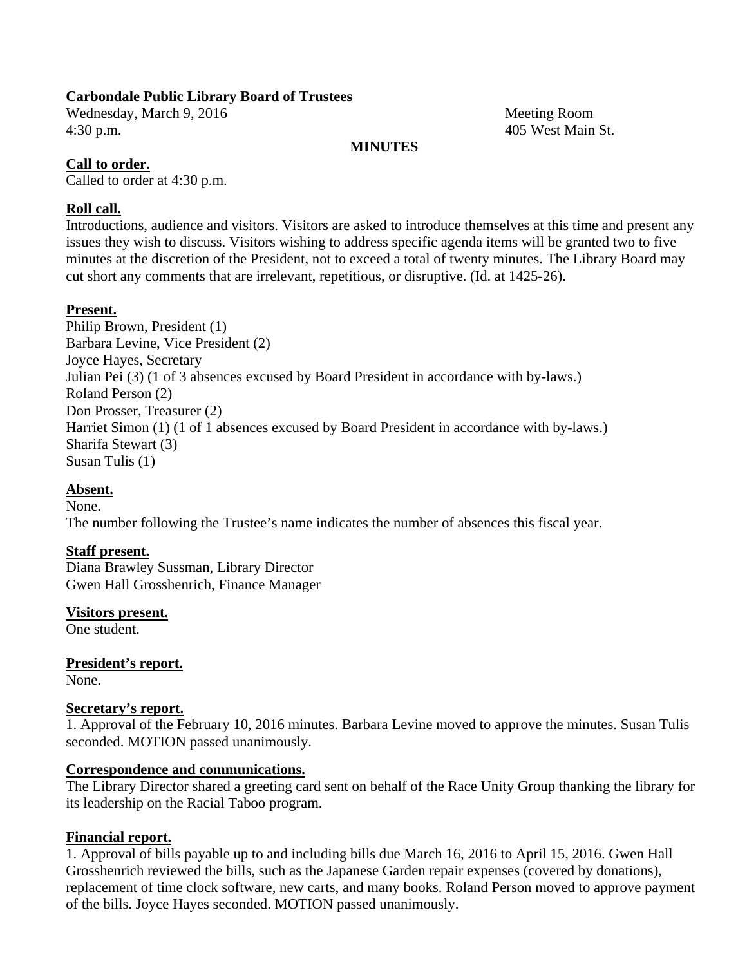Wednesday, March 9, 2016 Meeting Room 4:30 p.m. 405 West Main St.

### **MINUTES**

## **Call to order.**

Called to order at 4:30 p.m.

### **Roll call.**

Introductions, audience and visitors. Visitors are asked to introduce themselves at this time and present any issues they wish to discuss. Visitors wishing to address specific agenda items will be granted two to five minutes at the discretion of the President, not to exceed a total of twenty minutes. The Library Board may cut short any comments that are irrelevant, repetitious, or disruptive. (Id. at 1425-26).

## **Present.**

Philip Brown, President (1) Barbara Levine, Vice President (2) Joyce Hayes, Secretary Julian Pei (3) (1 of 3 absences excused by Board President in accordance with by-laws.) Roland Person (2) Don Prosser, Treasurer (2) Harriet Simon (1) (1 of 1 absences excused by Board President in accordance with by-laws.) Sharifa Stewart (3) Susan Tulis (1)

# **Absent.**

None. The number following the Trustee's name indicates the number of absences this fiscal year.

# **Staff present.**

Diana Brawley Sussman, Library Director Gwen Hall Grosshenrich, Finance Manager

**Visitors present.** 

One student.

**President's report.**  None.

### **Secretary's report.**

1. Approval of the February 10, 2016 minutes. Barbara Levine moved to approve the minutes. Susan Tulis seconded. MOTION passed unanimously.

### **Correspondence and communications.**

The Library Director shared a greeting card sent on behalf of the Race Unity Group thanking the library for its leadership on the Racial Taboo program.

### **Financial report.**

1. Approval of bills payable up to and including bills due March 16, 2016 to April 15, 2016. Gwen Hall Grosshenrich reviewed the bills, such as the Japanese Garden repair expenses (covered by donations), replacement of time clock software, new carts, and many books. Roland Person moved to approve payment of the bills. Joyce Hayes seconded. MOTION passed unanimously.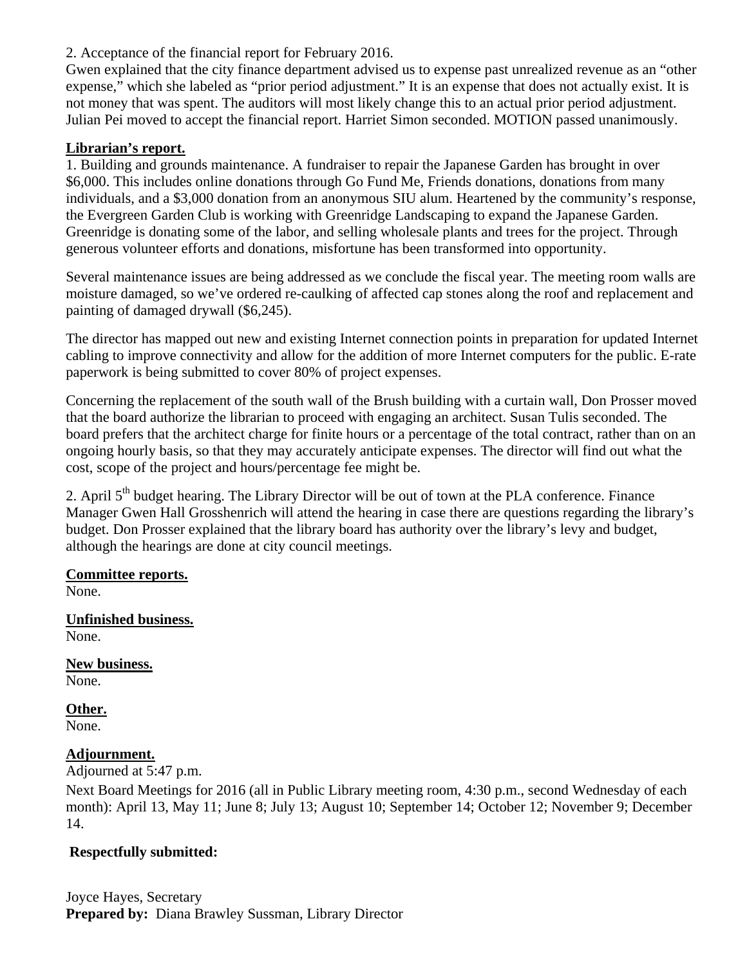2. Acceptance of the financial report for February 2016.

Gwen explained that the city finance department advised us to expense past unrealized revenue as an "other expense," which she labeled as "prior period adjustment." It is an expense that does not actually exist. It is not money that was spent. The auditors will most likely change this to an actual prior period adjustment. Julian Pei moved to accept the financial report. Harriet Simon seconded. MOTION passed unanimously.

# **Librarian's report.**

1. Building and grounds maintenance. A fundraiser to repair the Japanese Garden has brought in over \$6,000. This includes online donations through Go Fund Me, Friends donations, donations from many individuals, and a \$3,000 donation from an anonymous SIU alum. Heartened by the community's response, the Evergreen Garden Club is working with Greenridge Landscaping to expand the Japanese Garden. Greenridge is donating some of the labor, and selling wholesale plants and trees for the project. Through generous volunteer efforts and donations, misfortune has been transformed into opportunity.

Several maintenance issues are being addressed as we conclude the fiscal year. The meeting room walls are moisture damaged, so we've ordered re-caulking of affected cap stones along the roof and replacement and painting of damaged drywall (\$6,245).

The director has mapped out new and existing Internet connection points in preparation for updated Internet cabling to improve connectivity and allow for the addition of more Internet computers for the public. E-rate paperwork is being submitted to cover 80% of project expenses.

Concerning the replacement of the south wall of the Brush building with a curtain wall, Don Prosser moved that the board authorize the librarian to proceed with engaging an architect. Susan Tulis seconded. The board prefers that the architect charge for finite hours or a percentage of the total contract, rather than on an ongoing hourly basis, so that they may accurately anticipate expenses. The director will find out what the cost, scope of the project and hours/percentage fee might be.

2. April 5<sup>th</sup> budget hearing. The Library Director will be out of town at the PLA conference. Finance Manager Gwen Hall Grosshenrich will attend the hearing in case there are questions regarding the library's budget. Don Prosser explained that the library board has authority over the library's levy and budget, although the hearings are done at city council meetings.

# **Committee reports.**

None.

# **Unfinished business.**  None.

**New business.**  None.

# **Other.**

None.

# **Adjournment.**

Adjourned at 5:47 p.m.

Next Board Meetings for 2016 (all in Public Library meeting room, 4:30 p.m., second Wednesday of each month): April 13, May 11; June 8; July 13; August 10; September 14; October 12; November 9; December 14.

# **Respectfully submitted:**

Joyce Hayes, Secretary **Prepared by:** Diana Brawley Sussman, Library Director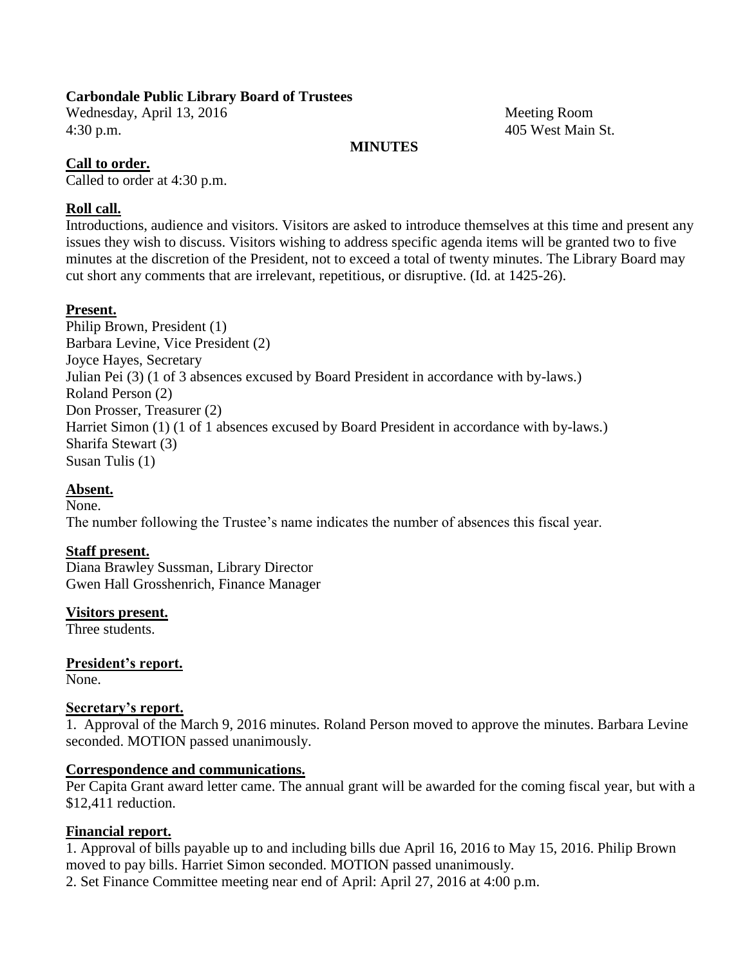Wednesday, April 13, 2016 Meeting Room 4:30 p.m. 405 West Main St.

### **MINUTES**

### **Call to order.**

Called to order at 4:30 p.m.

# **Roll call.**

Introductions, audience and visitors. Visitors are asked to introduce themselves at this time and present any issues they wish to discuss. Visitors wishing to address specific agenda items will be granted two to five minutes at the discretion of the President, not to exceed a total of twenty minutes. The Library Board may cut short any comments that are irrelevant, repetitious, or disruptive. (Id. at 1425-26).

## **Present.**

Philip Brown, President (1) Barbara Levine, Vice President (2) Joyce Hayes, Secretary Julian Pei (3) (1 of 3 absences excused by Board President in accordance with by-laws.) Roland Person (2) Don Prosser, Treasurer (2) Harriet Simon (1) (1 of 1 absences excused by Board President in accordance with by-laws.) Sharifa Stewart (3) Susan Tulis (1)

# **Absent.**

None. The number following the Trustee's name indicates the number of absences this fiscal year.

# **Staff present.**

Diana Brawley Sussman, Library Director Gwen Hall Grosshenrich, Finance Manager

**Visitors present.**

Three students.

**President's report.** None.

### **Secretary's report.**

1. Approval of the March 9, 2016 minutes. Roland Person moved to approve the minutes. Barbara Levine seconded. MOTION passed unanimously.

### **Correspondence and communications.**

Per Capita Grant award letter came. The annual grant will be awarded for the coming fiscal year, but with a \$12,411 reduction.

### **Financial report.**

1. Approval of bills payable up to and including bills due April 16, 2016 to May 15, 2016. Philip Brown moved to pay bills. Harriet Simon seconded. MOTION passed unanimously. 2. Set Finance Committee meeting near end of April: April 27, 2016 at 4:00 p.m.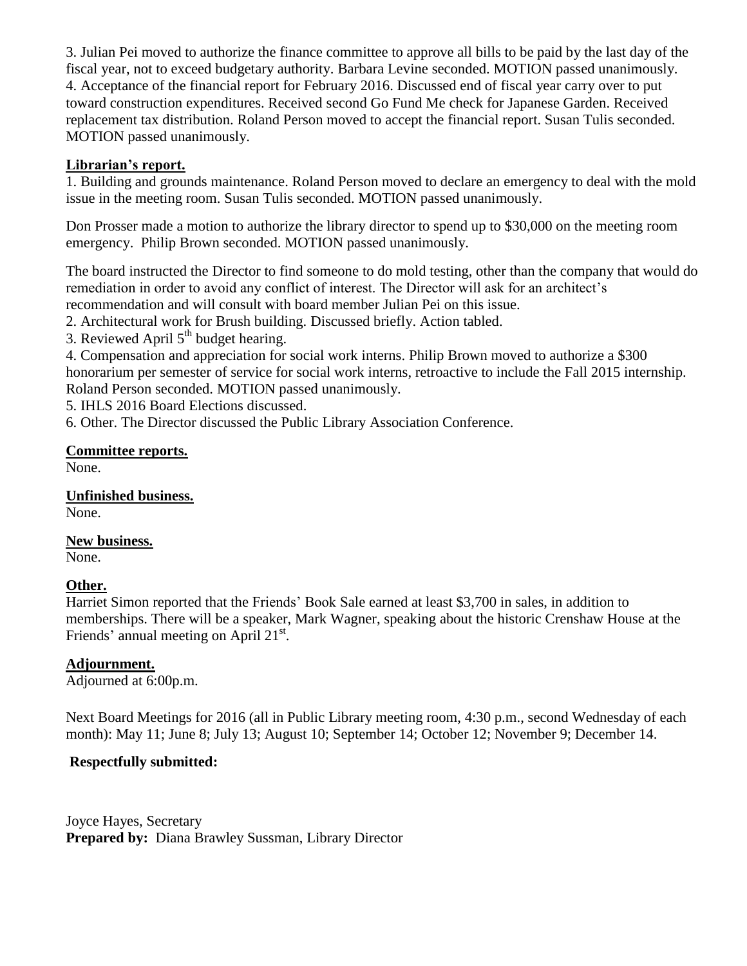3. Julian Pei moved to authorize the finance committee to approve all bills to be paid by the last day of the fiscal year, not to exceed budgetary authority. Barbara Levine seconded. MOTION passed unanimously. 4. Acceptance of the financial report for February 2016. Discussed end of fiscal year carry over to put toward construction expenditures. Received second Go Fund Me check for Japanese Garden. Received replacement tax distribution. Roland Person moved to accept the financial report. Susan Tulis seconded. MOTION passed unanimously.

# **Librarian's report.**

1. Building and grounds maintenance. Roland Person moved to declare an emergency to deal with the mold issue in the meeting room. Susan Tulis seconded. MOTION passed unanimously.

Don Prosser made a motion to authorize the library director to spend up to \$30,000 on the meeting room emergency. Philip Brown seconded. MOTION passed unanimously.

The board instructed the Director to find someone to do mold testing, other than the company that would do remediation in order to avoid any conflict of interest. The Director will ask for an architect's recommendation and will consult with board member Julian Pei on this issue.

2. Architectural work for Brush building. Discussed briefly. Action tabled.

3. Reviewed April  $5<sup>th</sup>$  budget hearing.

4. Compensation and appreciation for social work interns. Philip Brown moved to authorize a \$300 honorarium per semester of service for social work interns, retroactive to include the Fall 2015 internship. Roland Person seconded. MOTION passed unanimously.

5. IHLS 2016 Board Elections discussed.

6. Other. The Director discussed the Public Library Association Conference.

# **Committee reports.**

None.

**Unfinished business.** None.

**New business.** None.

# **Other.**

Harriet Simon reported that the Friends' Book Sale earned at least \$3,700 in sales, in addition to memberships. There will be a speaker, Mark Wagner, speaking about the historic Crenshaw House at the Friends' annual meeting on April 21<sup>st</sup>.

# **Adjournment.**

Adjourned at 6:00p.m.

Next Board Meetings for 2016 (all in Public Library meeting room, 4:30 p.m., second Wednesday of each month): May 11; June 8; July 13; August 10; September 14; October 12; November 9; December 14.

# **Respectfully submitted:**

Joyce Hayes, Secretary **Prepared by:** Diana Brawley Sussman, Library Director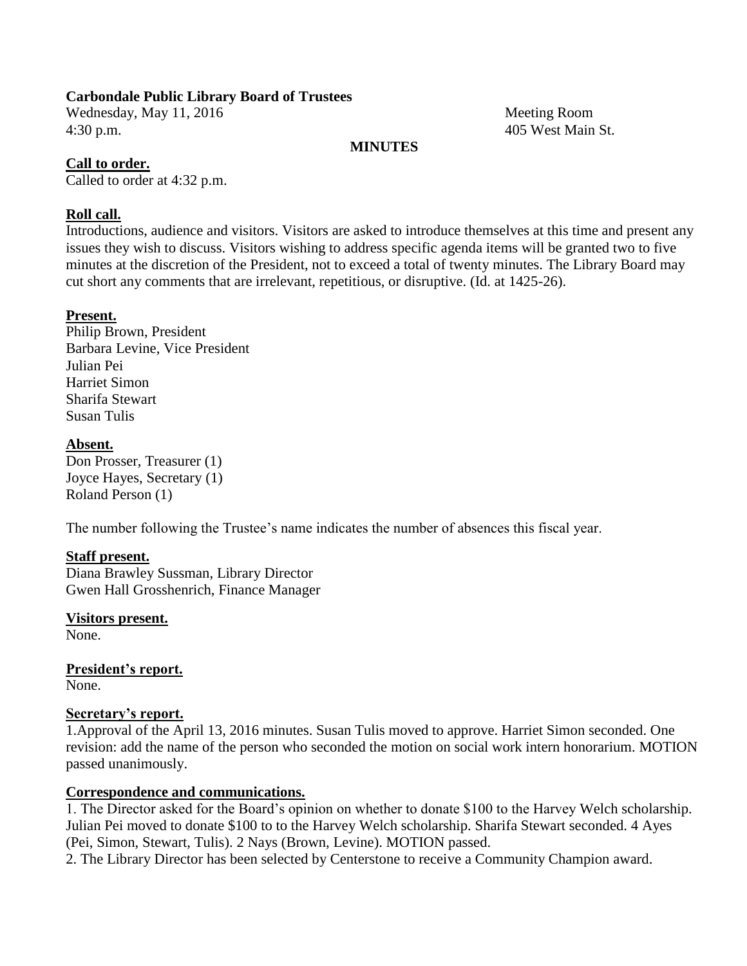Wednesday, May 11, 2016 Meeting Room 4:30 p.m. 405 West Main St.

### **MINUTES**

### **Call to order.**

Called to order at 4:32 p.m.

## **Roll call.**

Introductions, audience and visitors. Visitors are asked to introduce themselves at this time and present any issues they wish to discuss. Visitors wishing to address specific agenda items will be granted two to five minutes at the discretion of the President, not to exceed a total of twenty minutes. The Library Board may cut short any comments that are irrelevant, repetitious, or disruptive. (Id. at 1425-26).

## **Present.**

Philip Brown, President Barbara Levine, Vice President Julian Pei Harriet Simon Sharifa Stewart Susan Tulis

**Absent.** Don Prosser, Treasurer (1) Joyce Hayes, Secretary (1) Roland Person (1)

The number following the Trustee's name indicates the number of absences this fiscal year.

### **Staff present.**

Diana Brawley Sussman, Library Director Gwen Hall Grosshenrich, Finance Manager

**Visitors present.**

None.

**President's report.** None.

### **Secretary's report.**

1.Approval of the April 13, 2016 minutes. Susan Tulis moved to approve. Harriet Simon seconded. One revision: add the name of the person who seconded the motion on social work intern honorarium. MOTION passed unanimously.

### **Correspondence and communications.**

1. The Director asked for the Board's opinion on whether to donate \$100 to the Harvey Welch scholarship. Julian Pei moved to donate \$100 to to the Harvey Welch scholarship. Sharifa Stewart seconded. 4 Ayes (Pei, Simon, Stewart, Tulis). 2 Nays (Brown, Levine). MOTION passed.

2. The Library Director has been selected by Centerstone to receive a Community Champion award.